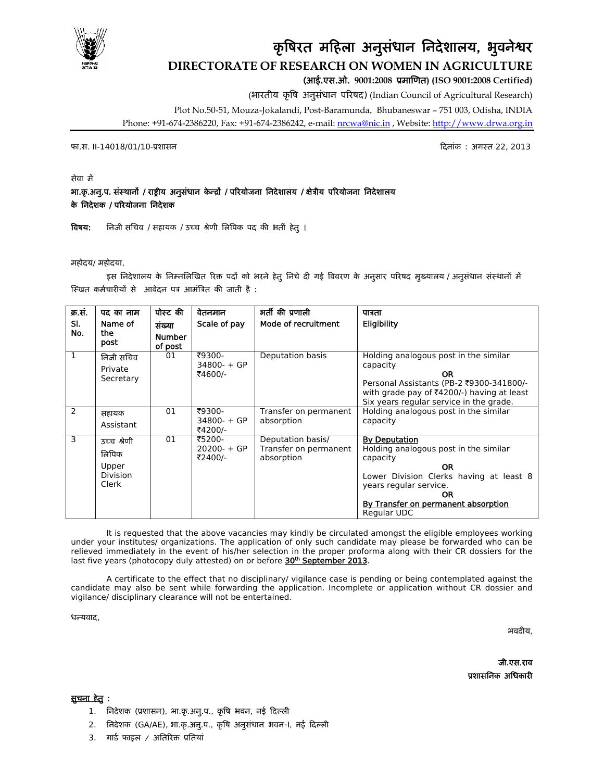

# कृषिरत महिला अनुसंधान निदेशालय, भुवनेश्वर **DIRECTORATE OF RESEARCH ON WOMEN IN AGRICULTURE**  (आई.एस.ओ. **9001:2008** ूमािणत**) (ISO 9001:2008 Certified)**

(भारतीय कृिष अनुसंधान पिरषद) (Indian Council of Agricultural Research)

Plot No.50-51, Mouza-Jokalandi, Post-Baramunda, Bhubaneswar – 751 003, Odisha, INDIA

Phone: +91-674-2386220, Fax: +91-674-2386242, e-mail: nrcwa@nic.in , Website: http://www.drwa.org.in

फा.स. II-14018/01/10-ूशासन िदनांक : अगःत 22, 2013

#### सेवा में

#### भा.कृ.अनु.प. संस्थानों / राष्ट्रीय अनुसंधान केन्द्रों / परियोजना निदेशालय / क्षेत्रीय परियोजना निदेशालय के िनदेशक / पिरयोजना िनदेशक

विषय: निजी सचिव / सहायक / उच्च श्रेणी लिपिक पद की भर्ती हेतु ।

महोदय/ महोदया,

इस निदेशालय के निम्नलिखित रिक्त पदों को भरने हेतु निचे दी गई विवरण के अनुसार परिषद मुख्यालय / अनुसंधान संस्थानों में स्खित कर्मचारीयों से आवेदन पत्र आमंत्रित की जाती है :

| क्र.सं.    | पद का नाम                                                 | पोस्ट की                           | वेतनमान                             | भर्ती की प्रणाली                                         | पात्रता                                                                                                                                                                                                          |
|------------|-----------------------------------------------------------|------------------------------------|-------------------------------------|----------------------------------------------------------|------------------------------------------------------------------------------------------------------------------------------------------------------------------------------------------------------------------|
| SI.<br>No. | Name of<br>the<br>post                                    | संख्या<br><b>Number</b><br>of post | Scale of pay                        | Mode of recruitment                                      | Eligibility                                                                                                                                                                                                      |
| 1          | निजी सचिव<br>Private<br>Secretary                         | 01                                 | ₹9300-<br>$34800 - + GP$<br>₹4600/- | Deputation basis                                         | Holding analogous post in the similar<br>capacity<br><b>OR</b><br>Personal Assistants (PB-2 ₹9300-341800/-<br>with grade pay of $\bar{\tau}$ 4200/-) having at least<br>Six years regular service in the grade.  |
| 2          | सहायक<br>Assistant                                        | 01                                 | ₹9300-<br>$34800 - + GP$<br>₹4200/- | Transfer on permanent<br>absorption                      | Holding analogous post in the similar<br>capacity                                                                                                                                                                |
| 3          | उच्च श्रेणी<br>लिपिक<br>Upper<br><b>Division</b><br>Clerk | 01                                 | ₹5200-<br>$20200 - + GP$<br>₹2400/- | Deputation basis/<br>Transfer on permanent<br>absorption | <b>By Deputation</b><br>Holding analogous post in the similar<br>capacity<br>ΟR<br>Lower Division Clerks having at least 8<br>years regular service.<br>ΟR<br>By Transfer on permanent absorption<br>Regular UDC |

It is requested that the above vacancies may kindly be circulated amongst the eligible employees working under your institutes/ organizations. The application of only such candidate may please be forwarded who can be relieved immediately in the event of his/her selection in the proper proforma along with their CR dossiers for the last five years (photocopy duly attested) on or before 30<sup>th</sup> September 2013.

A certificate to the effect that no disciplinary/ vigilance case is pending or being contemplated against the candidate may also be sent while forwarding the application. Incomplete or application without CR dossier and vigilance/ disciplinary clearance will not be entertained.

धन्यवाद,

भवदीय,

जी.एस.राव ूशासिनक अिधकारी

सुचना हेतु :

- 1. निदेशक (प्रशासन), भा.कृ.अनु.प., कृषि भवन, नई दिल्ली
- 2. निदेशक (GA/AE), भा.कृ.अनु.प., कृषि अनुसंधान भवन-।, नई दिल्ली
- 3. गार्ड फाइल / अतिरिक्त प्रतियां